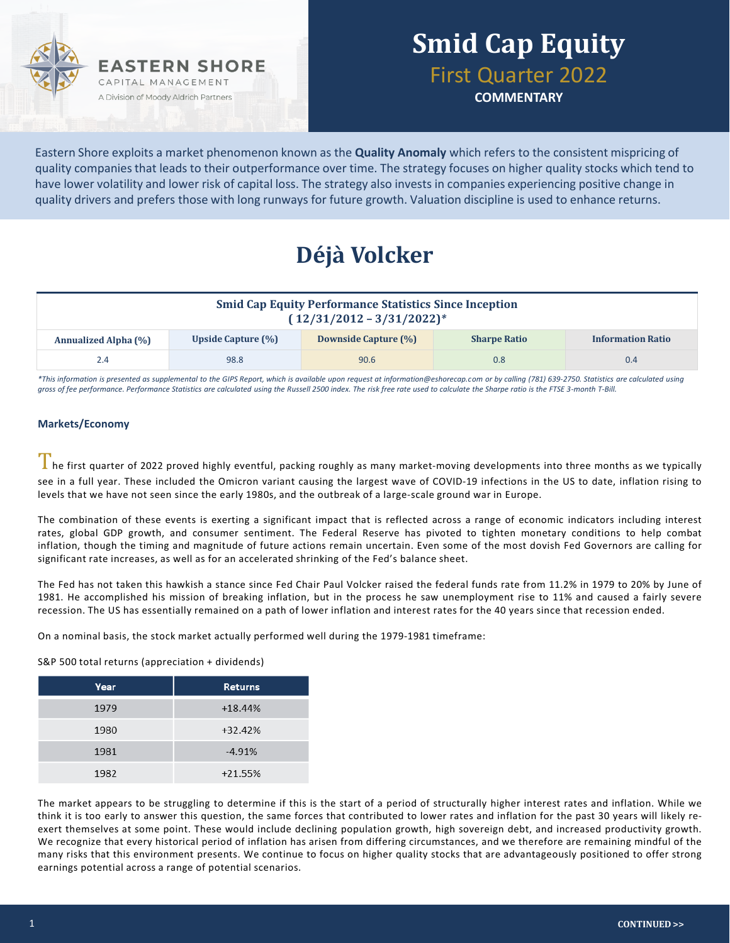

## **Smid Cap Equity** First Quarter 2022

**COMMENTARY**

Eastern Shore exploits a market phenomenon known as the **Quality Anomaly** which refers to the consistent mispricing of quality companies that leads to their outperformance over time. The strategy focuses on higher quality stocks which tend to have lower volatility and lower risk of capital loss. The strategy also invests in companies experiencing positive change in quality drivers and prefers those with long runways for future growth. Valuation discipline is used to enhance returns.

## **Déjà Volcker**

| <b>Smid Cap Equity Performance Statistics Since Inception</b><br>$(12/31/2012 - 3/31/2022)^{*}$ |                    |                             |                     |                          |  |  |
|-------------------------------------------------------------------------------------------------|--------------------|-----------------------------|---------------------|--------------------------|--|--|
| <b>Annualized Alpha (%)</b>                                                                     | Upside Capture (%) | <b>Downside Capture (%)</b> | <b>Sharpe Ratio</b> | <b>Information Ratio</b> |  |  |
| 2.4                                                                                             | 98.8               | 90.6                        | 0.8                 | 0.4                      |  |  |

*\*This information is presented as supplemental to the GIPS Report, which is available upon request at information@eshorecap.com or by calling (781) 639-2750. Statistics are calculated using gross of fee performance. Performance Statistics are calculated using the Russell 2500 index. The risk free rate used to calculate the Sharpe ratio is the FTSE 3-month T-Bill.*

### **Markets/Economy**

I he first quarter of 2022 proved highly eventful, packing roughly as many market-moving developments into three months as we typically see in a full year. These included the Omicron variant causing the largest wave of COVID-19 infections in the US to date, inflation rising to levels that we have not seen since the early 1980s, and the outbreak of a large-scale ground war in Europe.

The combination of these events is exerting a significant impact that is reflected across a range of economic indicators including interest rates, global GDP growth, and consumer sentiment. The Federal Reserve has pivoted to tighten monetary conditions to help combat inflation, though the timing and magnitude of future actions remain uncertain. Even some of the most dovish Fed Governors are calling for significant rate increases, as well as for an accelerated shrinking of the Fed's balance sheet.

The Fed has not taken this hawkish a stance since Fed Chair Paul Volcker raised the federal funds rate from 11.2% in 1979 to 20% by June of 1981. He accomplished his mission of breaking inflation, but in the process he saw unemployment rise to 11% and caused a fairly severe recession. The US has essentially remained on a path of lower inflation and interest rates for the 40 years since that recession ended.

On a nominal basis, the stock market actually performed well during the 1979-1981 timeframe:

S&P 500 total returns (appreciation + dividends)

| Year | <b>Returns</b> |
|------|----------------|
| 1979 | $+18.44%$      |
| 1980 | +32.42%        |
| 1981 | $-4.91%$       |
| 1982 | $+21.55%$      |

The market appears to be struggling to determine if this is the start of a period of structurally higher interest rates and inflation. While we think it is too early to answer this question, the same forces that contributed to lower rates and inflation for the past 30 years will likely reexert themselves at some point. These would include declining population growth, high sovereign debt, and increased productivity growth. We recognize that every historical period of inflation has arisen from differing circumstances, and we therefore are remaining mindful of the many risks that this environment presents. We continue to focus on higher quality stocks that are advantageously positioned to offer strong earnings potential across a range of potential scenarios.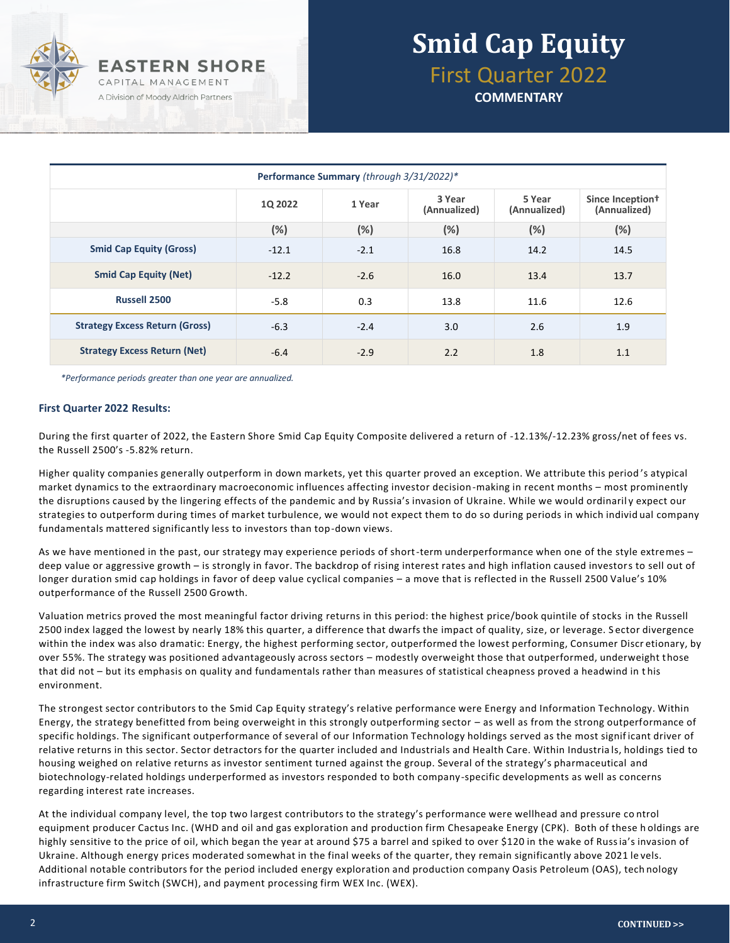

# **Smid Cap Equity** First Quarter 2022

**COMMENTARY**

| Performance Summary (through 3/31/2022)* |         |        |                        |                        |                                              |  |  |
|------------------------------------------|---------|--------|------------------------|------------------------|----------------------------------------------|--|--|
|                                          | 10 2022 | 1 Year | 3 Year<br>(Annualized) | 5 Year<br>(Annualized) | Since Inception <sup>†</sup><br>(Annualized) |  |  |
|                                          | (%)     | (%)    | (%)                    | (%)                    | (%)                                          |  |  |
| <b>Smid Cap Equity (Gross)</b>           | $-12.1$ | $-2.1$ | 16.8                   | 14.2                   | 14.5                                         |  |  |
| <b>Smid Cap Equity (Net)</b>             | $-12.2$ | $-2.6$ | 16.0                   | 13.4                   | 13.7                                         |  |  |
| <b>Russell 2500</b>                      | $-5.8$  | 0.3    | 13.8                   | 11.6                   | 12.6                                         |  |  |
| <b>Strategy Excess Return (Gross)</b>    | $-6.3$  | $-2.4$ | 3.0                    | 2.6                    | 1.9                                          |  |  |
| <b>Strategy Excess Return (Net)</b>      | $-6.4$  | $-2.9$ | 2.2                    | 1.8                    | 1.1                                          |  |  |

*\*Performance periods greater than one year are annualized.*

#### **First Quarter 2022 Results:**

During the first quarter of 2022, the Eastern Shore Smid Cap Equity Composite delivered a return of -12.13%/-12.23% gross/net of fees vs. the Russell 2500's -5.82% return.

Higher quality companies generally outperform in down markets, yet this quarter proved an exception. We attribute this period 's atypical market dynamics to the extraordinary macroeconomic influences affecting investor decision-making in recent months – most prominently the disruptions caused by the lingering effects of the pandemic and by Russia's invasion of Ukraine. While we would ordinaril y expect our strategies to outperform during times of market turbulence, we would not expect them to do so during periods in which individ ual company fundamentals mattered significantly less to investors than top-down views.

As we have mentioned in the past, our strategy may experience periods of short-term underperformance when one of the style extremes – deep value or aggressive growth – is strongly in favor. The backdrop of rising interest rates and high inflation caused investors to sell out of longer duration smid cap holdings in favor of deep value cyclical companies – a move that is reflected in the Russell 2500 Value's 10% outperformance of the Russell 2500 Growth.

Valuation metrics proved the most meaningful factor driving returns in this period: the highest price/book quintile of stocks in the Russell 2500 index lagged the lowest by nearly 18% this quarter, a difference that dwarfs the impact of quality, size, or leverage. S ector divergence within the index was also dramatic: Energy, the highest performing sector, outperformed the lowest performing, Consumer Discr etionary, by over 55%. The strategy was positioned advantageously across sectors – modestly overweight those that outperformed, underweight those that did not – but its emphasis on quality and fundamentals rather than measures of statistical cheapness proved a headwind in t his environment.

The strongest sector contributors to the Smid Cap Equity strategy's relative performance were Energy and Information Technology. Within Energy, the strategy benefitted from being overweight in this strongly outperforming sector – as well as from the strong outperformance of specific holdings. The significant outperformance of several of our Information Technology holdings served as the most signif icant driver of relative returns in this sector. Sector detractors for the quarter included and Industrials and Health Care. Within Industria ls, holdings tied to housing weighed on relative returns as investor sentiment turned against the group. Several of the strategy's pharmaceutical and biotechnology-related holdings underperformed as investors responded to both company -specific developments as well as concerns regarding interest rate increases.

At the individual company level, the top two largest contributors to the strategy's performance were wellhead and pressure co ntrol equipment producer Cactus Inc. (WHD and oil and gas exploration and production firm Chesapeake Energy (CPK). Both of these h oldings are highly sensitive to the price of oil, which began the year at around \$75 a barrel and spiked to over \$120 in the wake of Russia's invasion of Ukraine. Although energy prices moderated somewhat in the final weeks of the quarter, they remain significantly above 2021 le vels. Additional notable contributors for the period included energy exploration and production company Oasis Petroleum (OAS), tech nology infrastructure firm Switch (SWCH), and payment processing firm WEX Inc. (WEX).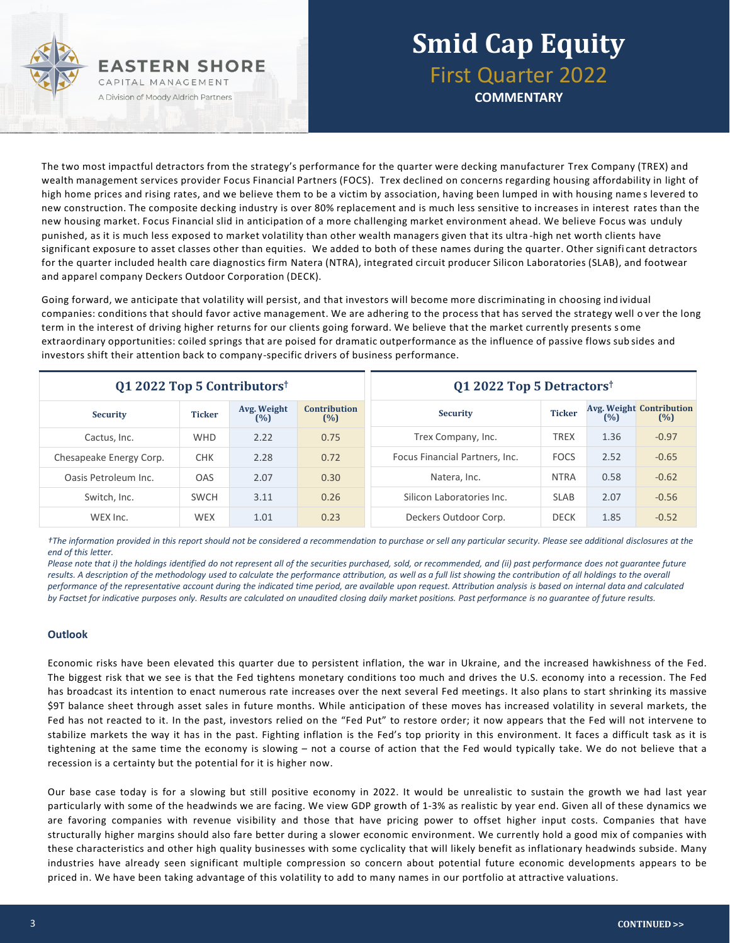

## **Smid Cap Equity** First Quarter 2022 **COMMENTARY**

The two most impactful detractors from the strategy's performance for the quarter were decking manufacturer Trex Company (TREX) and wealth management services provider Focus Financial Partners (FOCS). Trex declined on concerns regarding housing affordability in light of high home prices and rising rates, and we believe them to be a victim by association, having been lumped in with housing name s levered to new construction. The composite decking industry is over 80% replacement and is much less sensitive to increases in interest rates than the new housing market. Focus Financial slid in anticipation of a more challenging market environment ahead. We believe Focus was unduly punished, as it is much less exposed to market volatility than other wealth managers given that its ultra -high net worth clients have significant exposure to asset classes other than equities. We added to both of these names during the quarter. Other signifi cant detractors for the quarter included health care diagnostics firm Natera (NTRA), integrated circuit producer Silicon Laboratories (SLAB), and footwear and apparel company Deckers Outdoor Corporation (DECK).

Going forward, we anticipate that volatility will persist, and that investors will become more discriminating in choosing ind ividual companies: conditions that should favor active management. We are adhering to the process that has served the strategy well o ver the long term in the interest of driving higher returns for our clients going forward. We believe that the market currently presents s ome extraordinary opportunities: coiled springs that are poised for dramatic outperformance as the influence of passive flows sub sides and investors shift their attention back to company-specific drivers of business performance.

| Q1 2022 Top 5 Contributors <sup>†</sup> |               |                    | Q1 2022 Top 5 Detractors <sup>†</sup> |                                |               |      |                                        |
|-----------------------------------------|---------------|--------------------|---------------------------------------|--------------------------------|---------------|------|----------------------------------------|
| <b>Security</b>                         | <b>Ticker</b> | Avg. Weight<br>(%) | <b>Contribution</b><br>(%)            | <b>Security</b>                | <b>Ticker</b> | (%)  | <b>Avg. Weight Contribution</b><br>(%) |
| Cactus, Inc.                            | <b>WHD</b>    | 2.22               | 0.75                                  | Trex Company, Inc.             | <b>TREX</b>   | 1.36 | $-0.97$                                |
| Chesapeake Energy Corp.                 | <b>CHK</b>    | 2.28               | 0.72                                  | Focus Financial Partners, Inc. | <b>FOCS</b>   | 2.52 | $-0.65$                                |
| Oasis Petroleum Inc.                    | <b>OAS</b>    | 2.07               | 0.30                                  | Natera, Inc.                   | <b>NTRA</b>   | 0.58 | $-0.62$                                |
| Switch, Inc.                            | <b>SWCH</b>   | 3.11               | 0.26                                  | Silicon Laboratories Inc.      | <b>SLAB</b>   | 2.07 | $-0.56$                                |
| WEX Inc.                                | <b>WEX</b>    | 1.01               | 0.23                                  | Deckers Outdoor Corp.          | <b>DECK</b>   | 1.85 | $-0.52$                                |

*†The information provided in this report should not be considered a recommendation to purchase or sell any particular security. Please see additional disclosures at the end of this letter.* 

*Please note that i) the holdings identified do not represent all of the securities purchased, sold, or recommended, and (ii) past performance does not guarantee future*  results. A description of the methodology used to calculate the performance attribution, as well as a full list showing the contribution of all holdings to the overall *performance of the representative account during the indicated time period, are available upon request. Attribution analysis is based on internal data and calculated by Factset for indicative purposes only. Results are calculated on unaudited closing daily market positions. Past performance is no guarantee of future results.*

#### **Outlook**

Economic risks have been elevated this quarter due to persistent inflation, the war in Ukraine, and the increased hawkishness of the Fed. The biggest risk that we see is that the Fed tightens monetary conditions too much and drives the U.S. economy into a recession. The Fed has broadcast its intention to enact numerous rate increases over the next several Fed meetings. It also plans to start shrinking its massive \$9T balance sheet through asset sales in future months. While anticipation of these moves has increased volatility in several markets, the Fed has not reacted to it. In the past, investors relied on the "Fed Put" to restore order; it now appears that the Fed will not intervene to stabilize markets the way it has in the past. Fighting inflation is the Fed's top priority in this environment. It faces a difficult task as it is tightening at the same time the economy is slowing – not a course of action that the Fed would typically take. We do not believe that a recession is a certainty but the potential for it is higher now.

Our base case today is for a slowing but still positive economy in 2022. It would be unrealistic to sustain the growth we had last year particularly with some of the headwinds we are facing. We view GDP growth of 1-3% as realistic by year end. Given all of these dynamics we are favoring companies with revenue visibility and those that have pricing power to offset higher input costs. Companies that have structurally higher margins should also fare better during a slower economic environment. We currently hold a good mix of companies with these characteristics and other high quality businesses with some cyclicality that will likely benefit as inflationary headwinds subside. Many industries have already seen significant multiple compression so concern about potential future economic developments appears to be priced in. We have been taking advantage of this volatility to add to many names in our portfolio at attractive valuations.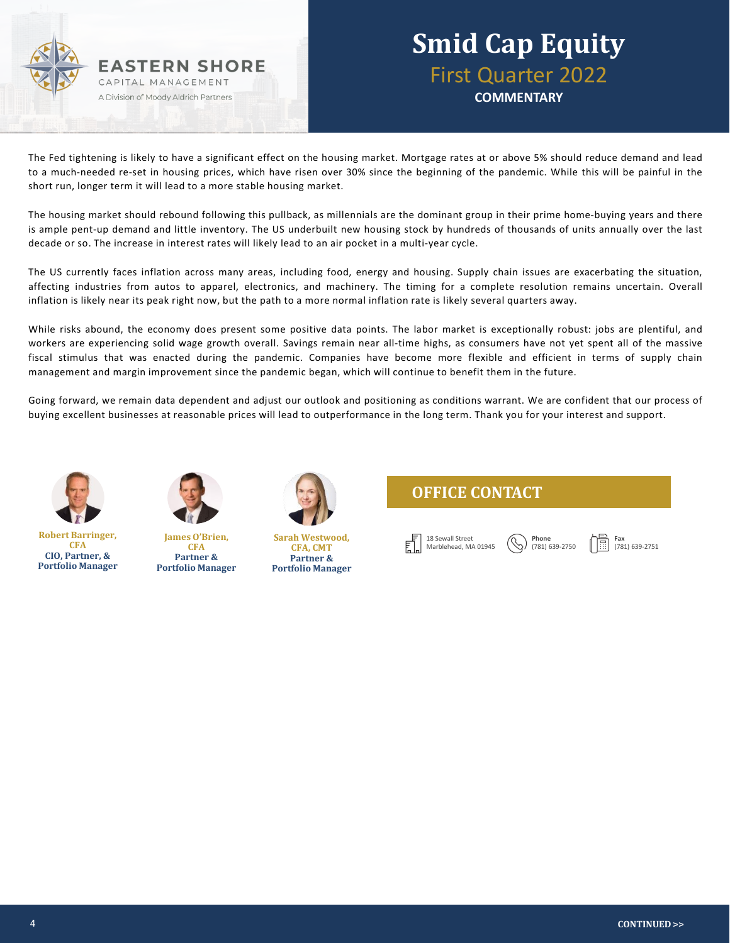

### **Smid Cap Equity** First Quarter 2022 **COMMENTARY**

The Fed tightening is likely to have a significant effect on the housing market. Mortgage rates at or above 5% should reduce demand and lead to a much-needed re-set in housing prices, which have risen over 30% since the beginning of the pandemic. While this will be painful in the short run, longer term it will lead to a more stable housing market.

The housing market should rebound following this pullback, as millennials are the dominant group in their prime home-buying years and there is ample pent-up demand and little inventory. The US underbuilt new housing stock by hundreds of thousands of units annually over the last decade or so. The increase in interest rates will likely lead to an air pocket in a multi-year cycle.

The US currently faces inflation across many areas, including food, energy and housing. Supply chain issues are exacerbating the situation, affecting industries from autos to apparel, electronics, and machinery. The timing for a complete resolution remains uncertain. Overall inflation is likely near its peak right now, but the path to a more normal inflation rate is likely several quarters away.

While risks abound, the economy does present some positive data points. The labor market is exceptionally robust: jobs are plentiful, and workers are experiencing solid wage growth overall. Savings remain near all-time highs, as consumers have not yet spent all of the massive fiscal stimulus that was enacted during the pandemic. Companies have become more flexible and efficient in terms of supply chain management and margin improvement since the pandemic began, which will continue to benefit them in the future.

Going forward, we remain data dependent and adjust our outlook and positioning as conditions warrant. We are confident that our process of buying excellent businesses at reasonable prices will lead to outperformance in the long term. Thank you for your interest and support.



**Robert Barringer, CFA CIO, Partner, & Portfolio Manager**



**James O'Brien, CFA Partner & Portfolio Manager**



**Sarah Westwood, CFA, CMT Partner & Portfolio Manager**





**Phone** (781) 639-2750

**Fax** (781) 639-2751